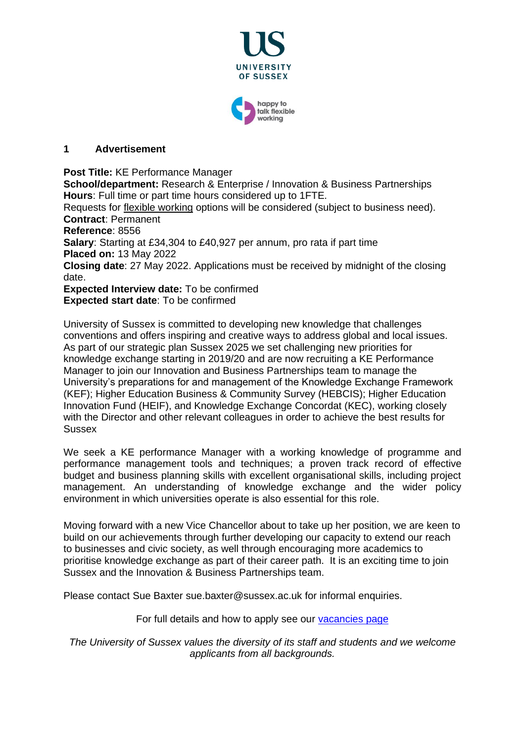

#### **1 Advertisement**

**Post Title:** KE Performance Manager

**School/department:** Research & Enterprise / Innovation & Business Partnerships **Hours**: Full time or part time hours considered up to 1FTE.

Requests for [flexible working](http://www.sussex.ac.uk/humanresources/personnel/flexible-working) options will be considered (subject to business need). **Contract**: Permanent

**Reference**: 8556

**Salary**: Starting at £34,304 to £40,927 per annum, pro rata if part time **Placed on:** 13 May 2022

**Closing date**: 27 May 2022. Applications must be received by midnight of the closing date.

**Expected Interview date:** To be confirmed **Expected start date**: To be confirmed

University of Sussex is committed to developing new knowledge that challenges conventions and offers inspiring and creative ways to address global and local issues. As part of our strategic plan Sussex 2025 we set challenging new priorities for knowledge exchange starting in 2019/20 and are now recruiting a KE Performance Manager to join our Innovation and Business Partnerships team to manage the University's preparations for and management of the Knowledge Exchange Framework (KEF); Higher Education Business & Community Survey (HEBCIS); Higher Education Innovation Fund (HEIF), and Knowledge Exchange Concordat (KEC), working closely with the Director and other relevant colleagues in order to achieve the best results for Sussex

We seek a KE performance Manager with a working knowledge of programme and performance management tools and techniques; a proven track record of effective budget and business planning skills with excellent organisational skills, including project management. An understanding of knowledge exchange and the wider policy environment in which universities operate is also essential for this role.

Moving forward with a new Vice Chancellor about to take up her position, we are keen to build on our achievements through further developing our capacity to extend our reach to businesses and civic society, as well through encouraging more academics to prioritise knowledge exchange as part of their career path. It is an exciting time to join Sussex and the Innovation & Business Partnerships team.

Please contact Sue Baxter sue.baxter@sussex.ac.uk for informal enquiries.

For full details and how to apply see our [vacancies page](http://www.sussex.ac.uk/about/jobs)

*The University of Sussex values the diversity of its staff and students and we welcome applicants from all backgrounds.*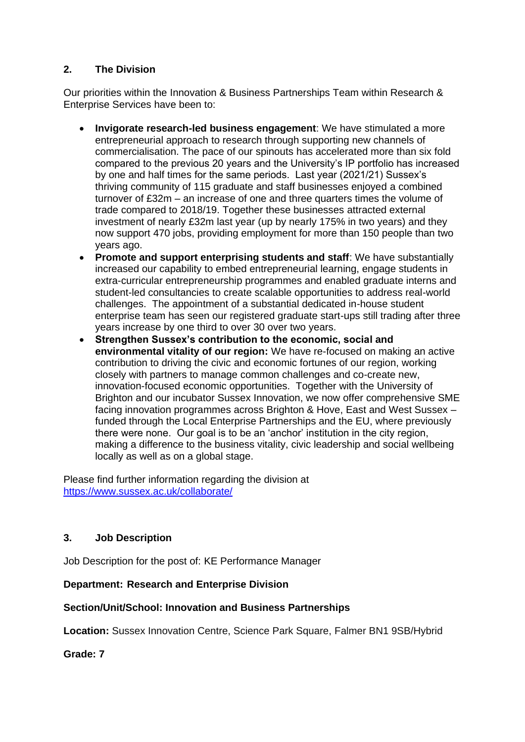# **2. The Division**

Our priorities within the Innovation & Business Partnerships Team within Research & Enterprise Services have been to:

- **Invigorate research-led business engagement**: We have stimulated a more entrepreneurial approach to research through supporting new channels of commercialisation. The pace of our spinouts has accelerated more than six fold compared to the previous 20 years and the University's IP portfolio has increased by one and half times for the same periods. Last year (2021/21) Sussex's thriving community of 115 graduate and staff businesses enjoyed a combined turnover of £32m – an increase of one and three quarters times the volume of trade compared to 2018/19. Together these businesses attracted external investment of nearly £32m last year (up by nearly 175% in two years) and they now support 470 jobs, providing employment for more than 150 people than two years ago.
- **Promote and support enterprising students and staff**: We have substantially increased our capability to embed entrepreneurial learning, engage students in extra-curricular entrepreneurship programmes and enabled graduate interns and student-led consultancies to create scalable opportunities to address real-world challenges. The appointment of a substantial dedicated in-house student enterprise team has seen our registered graduate start-ups still trading after three years increase by one third to over 30 over two years.
- **Strengthen Sussex's contribution to the economic, social and environmental vitality of our region:** We have re-focused on making an active contribution to driving the civic and economic fortunes of our region, working closely with partners to manage common challenges and co-create new, innovation-focused economic opportunities. Together with the University of Brighton and our incubator Sussex Innovation, we now offer comprehensive SME facing innovation programmes across Brighton & Hove, East and West Sussex – funded through the Local Enterprise Partnerships and the EU, where previously there were none. Our goal is to be an 'anchor' institution in the city region, making a difference to the business vitality, civic leadership and social wellbeing locally as well as on a global stage.

Please find further information regarding the division at <https://www.sussex.ac.uk/collaborate/>

## **3. Job Description**

Job Description for the post of: KE Performance Manager

## **Department: Research and Enterprise Division**

## **Section/Unit/School: Innovation and Business Partnerships**

**Location:** Sussex Innovation Centre, Science Park Square, Falmer BN1 9SB/Hybrid

## **Grade: 7**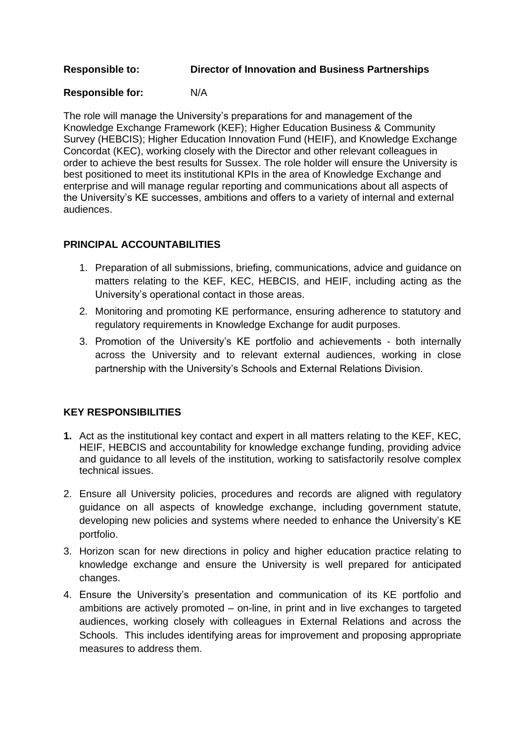#### **Responsible to: Director of Innovation and Business Partnerships**

# **Responsible for:** N/A

The role will manage the University's preparations for and management of the Knowledge Exchange Framework (KEF); Higher Education Business & Community Survey (HEBCIS); Higher Education Innovation Fund (HEIF), and Knowledge Exchange Concordat (KEC), working closely with the Director and other relevant colleagues in order to achieve the best results for Sussex. The role holder will ensure the University is best positioned to meet its institutional KPIs in the area of Knowledge Exchange and enterprise and will manage regular reporting and communications about all aspects of the University's KE successes, ambitions and offers to a variety of internal and external audiences.

## **PRINCIPAL ACCOUNTABILITIES**

- 1. Preparation of all submissions, briefing, communications, advice and guidance on matters relating to the KEF, KEC, HEBCIS, and HEIF, including acting as the University's operational contact in those areas.
- 2. Monitoring and promoting KE performance, ensuring adherence to statutory and regulatory requirements in Knowledge Exchange for audit purposes.
- 3. Promotion of the University's KE portfolio and achievements both internally across the University and to relevant external audiences, working in close partnership with the University's Schools and External Relations Division.

# **KEY RESPONSIBILITIES**

- **1.** Act as the institutional key contact and expert in all matters relating to the KEF, KEC, HEIF, HEBCIS and accountability for knowledge exchange funding, providing advice and guidance to all levels of the institution, working to satisfactorily resolve complex technical issues.
- 2. Ensure all University policies, procedures and records are aligned with regulatory guidance on all aspects of knowledge exchange, including government statute, developing new policies and systems where needed to enhance the University's KE portfolio.
- 3. Horizon scan for new directions in policy and higher education practice relating to knowledge exchange and ensure the University is well prepared for anticipated changes.
- 4. Ensure the University's presentation and communication of its KE portfolio and ambitions are actively promoted – on-line, in print and in live exchanges to targeted audiences, working closely with colleagues in External Relations and across the Schools. This includes identifying areas for improvement and proposing appropriate measures to address them.